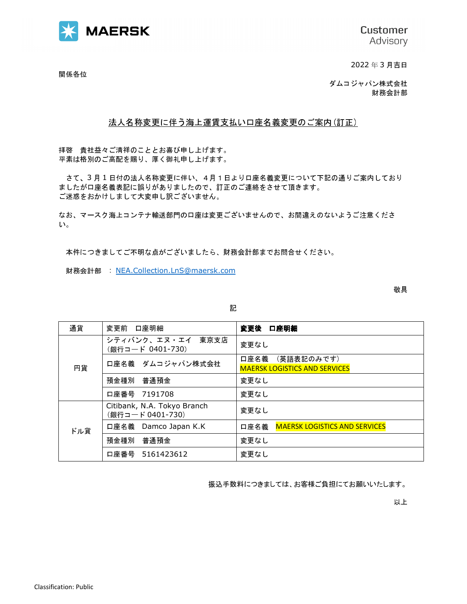

**Customer** Advisory

2022 年 3 月吉日

関係各位

ダムコジャパン株式会社 財務会計部

## 法人名称変更に伴う海上運賃支払い口座名義変更のご案内(訂正)

拝啓 貴社益々ご清祥のこととお喜び申し上げます。 平素は格別のご高配を賜り、厚く御礼申し上げます。

 さて、3 月 1 日付の法人名称変更に伴い、4月1日より口座名義変更について下記の通りご案内しており ましたが口座名義表記に誤りがありましたので、訂正のご連絡をさせて頂きます。 ご迷惑をおかけしまして大変申し訳ございません。

なお、マースク海上コンテナ輸送部門の口座は変更ございませんので、お間違えのないようご注意くださ い。

本件につきましてご不明な点がございましたら、財務会計部までお問合せください。

財務会計部 : NEA.Collection.LnS@maersk.com

敬具

| × | I |
|---|---|

| 通貨  | 変更前 口座明細                                       | 口座明細<br>変更後                                             |
|-----|------------------------------------------------|---------------------------------------------------------|
| 円貨  | シティバンク、エヌ・エイ<br>東京支店<br>(銀行コード 0401-730)       | 変更なし                                                    |
|     | 口座名義 ダムコジャパン株式会社                               | 口座名義 (英語表記のみです)<br><b>MAERSK LOGISTICS AND SERVICES</b> |
|     | 預金種別 普通預金                                      | 変更なし                                                    |
|     | 口座番号 7191708                                   | 変更なし                                                    |
| ドル貨 | Citibank, N.A. Tokyo Branch<br>(銀行コード0401-730) | 変更なし                                                    |
|     | 口座名義 Damco Japan K.K                           | 口座名義<br><b>MAERSK LOGISTICS AND SERVICES</b>            |
|     | 普通預金<br>預金種別                                   | 変更なし                                                    |
|     | 口座番号 5161423612                                | 変更なし                                                    |

振込手数料につきましては、お客様ご負担にてお願いいたします。

以上